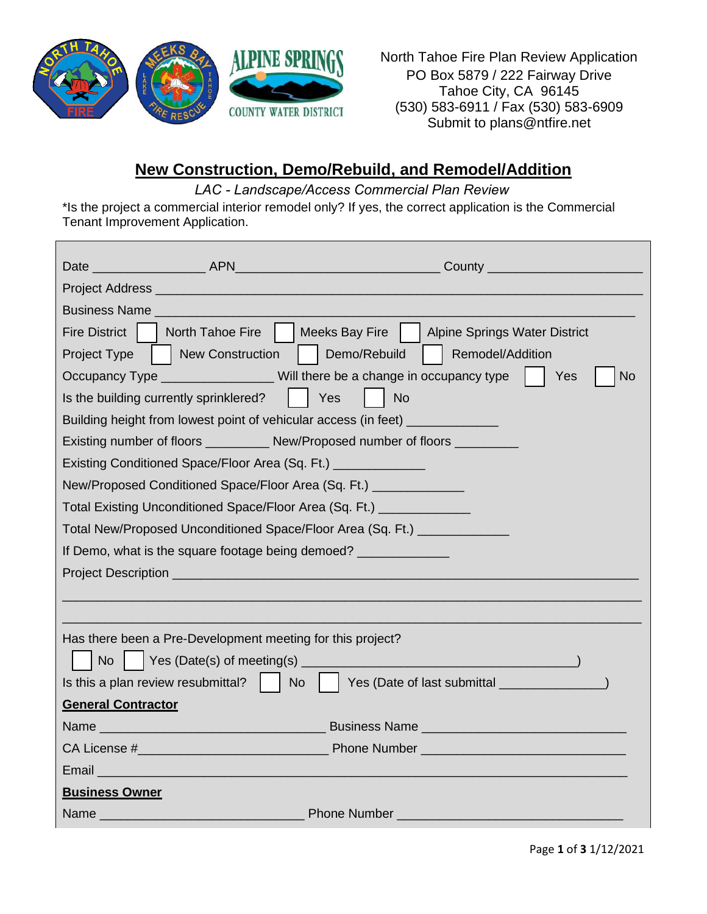

North Tahoe Fire Plan Review Application PO Box 5879 / 222 Fairway Drive Tahoe City, CA 96145 (530) 583-6911 / Fax (530) 583-6909 Submit to plans@ntfire.net

## **New Construction, Demo/Rebuild, and Remodel/Addition**

*LAC - Landscape/Access Commercial Plan Review* 

\*Is the project a commercial interior remodel only? If yes, the correct application is the Commercial Tenant Improvement Application.

|                                                                                 |                                                                                                                                                                                                                                | County __________________________                                                                |  |
|---------------------------------------------------------------------------------|--------------------------------------------------------------------------------------------------------------------------------------------------------------------------------------------------------------------------------|--------------------------------------------------------------------------------------------------|--|
|                                                                                 |                                                                                                                                                                                                                                |                                                                                                  |  |
|                                                                                 |                                                                                                                                                                                                                                |                                                                                                  |  |
|                                                                                 | <b>Business Name Business</b> Name                                                                                                                                                                                             |                                                                                                  |  |
| <b>Fire District</b>                                                            |                                                                                                                                                                                                                                | North Tahoe Fire     Meeks Bay Fire     Alpine Springs Water District                            |  |
| Project Type                                                                    | New Construction                                                                                                                                                                                                               | Demo/Rebuild<br>Remodel/Addition                                                                 |  |
|                                                                                 |                                                                                                                                                                                                                                | Occupancy Type ___________________Will there be a change in occupancy type  <br><b>No</b><br>Yes |  |
|                                                                                 | Is the building currently sprinklered?                                                                                                                                                                                         | Yes<br>  No                                                                                      |  |
| Building height from lowest point of vehicular access (in feet) _______________ |                                                                                                                                                                                                                                |                                                                                                  |  |
| Existing number of floors _____________ New/Proposed number of floors           |                                                                                                                                                                                                                                |                                                                                                  |  |
| Existing Conditioned Space/Floor Area (Sq. Ft.) _______________                 |                                                                                                                                                                                                                                |                                                                                                  |  |
| New/Proposed Conditioned Space/Floor Area (Sq. Ft.) _____________               |                                                                                                                                                                                                                                |                                                                                                  |  |
| Total Existing Unconditioned Space/Floor Area (Sq. Ft.) _____________           |                                                                                                                                                                                                                                |                                                                                                  |  |
| Total New/Proposed Unconditioned Space/Floor Area (Sq. Ft.) ____________        |                                                                                                                                                                                                                                |                                                                                                  |  |
| If Demo, what is the square footage being demoed?                               |                                                                                                                                                                                                                                |                                                                                                  |  |
|                                                                                 |                                                                                                                                                                                                                                |                                                                                                  |  |
|                                                                                 |                                                                                                                                                                                                                                |                                                                                                  |  |
|                                                                                 |                                                                                                                                                                                                                                |                                                                                                  |  |
|                                                                                 | Has there been a Pre-Development meeting for this project?                                                                                                                                                                     |                                                                                                  |  |
| <b>No</b>                                                                       |                                                                                                                                                                                                                                |                                                                                                  |  |
|                                                                                 | Is this a plan review resubmittal?                                                                                                                                                                                             | <b>No</b><br>Yes (Date of last submittal _______________                                         |  |
| <b>General Contractor</b>                                                       |                                                                                                                                                                                                                                |                                                                                                  |  |
|                                                                                 |                                                                                                                                                                                                                                |                                                                                                  |  |
|                                                                                 |                                                                                                                                                                                                                                |                                                                                                  |  |
|                                                                                 | Email <b>Email Example 2008</b>                                                                                                                                                                                                |                                                                                                  |  |
| <b>Business Owner</b>                                                           |                                                                                                                                                                                                                                |                                                                                                  |  |
|                                                                                 | Name and the contract of the contract of the contract of the contract of the contract of the contract of the contract of the contract of the contract of the contract of the contract of the contract of the contract of the c | Phone Number ________________________                                                            |  |

Page **1** of **3** 1/12/2021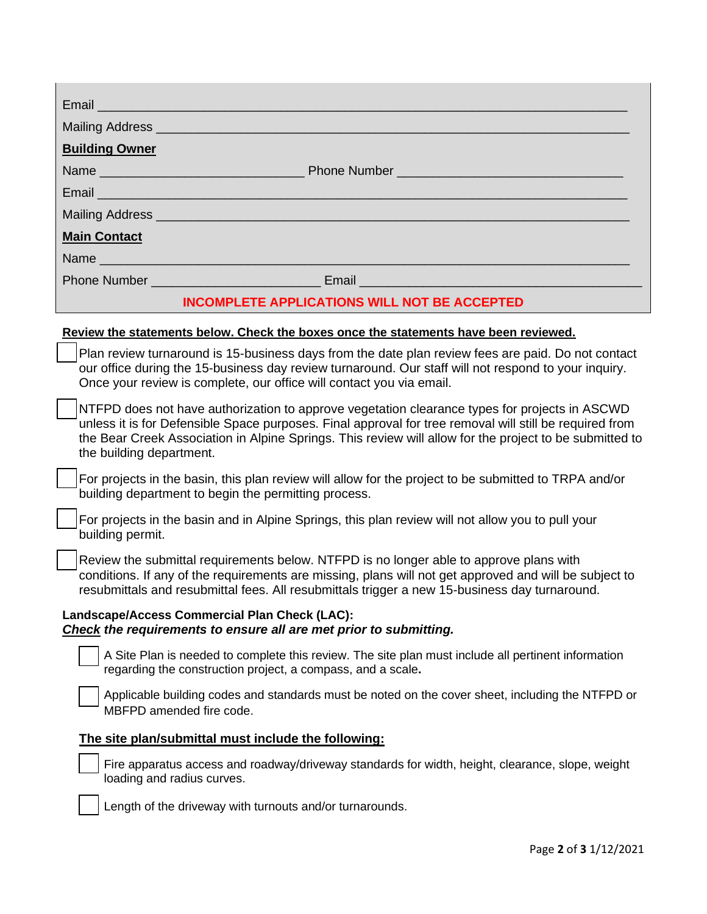| <b>Building Owner</b>                                                                                                                                                                                                                                                                                                                           |
|-------------------------------------------------------------------------------------------------------------------------------------------------------------------------------------------------------------------------------------------------------------------------------------------------------------------------------------------------|
|                                                                                                                                                                                                                                                                                                                                                 |
|                                                                                                                                                                                                                                                                                                                                                 |
| Mailing Address entertainment and the mail of the mail of the mail of the mail of the mail of the mail of the                                                                                                                                                                                                                                   |
| <b>Main Contact</b>                                                                                                                                                                                                                                                                                                                             |
|                                                                                                                                                                                                                                                                                                                                                 |
|                                                                                                                                                                                                                                                                                                                                                 |
| <b>INCOMPLETE APPLICATIONS WILL NOT BE ACCEPTED</b>                                                                                                                                                                                                                                                                                             |
| Review the statements below. Check the boxes once the statements have been reviewed.                                                                                                                                                                                                                                                            |
| Plan review turnaround is 15-business days from the date plan review fees are paid. Do not contact<br>our office during the 15-business day review turnaround. Our staff will not respond to your inquiry.<br>Once your review is complete, our office will contact you via email.                                                              |
| NTFPD does not have authorization to approve vegetation clearance types for projects in ASCWD<br>unless it is for Defensible Space purposes. Final approval for tree removal will still be required from<br>the Bear Creek Association in Alpine Springs. This review will allow for the project to be submitted to<br>the building department. |
| For projects in the basin, this plan review will allow for the project to be submitted to TRPA and/or<br>building department to begin the permitting process.                                                                                                                                                                                   |
| For projects in the basin and in Alpine Springs, this plan review will not allow you to pull your<br>building permit.                                                                                                                                                                                                                           |
| Review the submittal requirements below. NTFPD is no longer able to approve plans with<br>conditions. If any of the requirements are missing, plans will not get approved and will be subject to<br>resubmittals and resubmittal fees. All resubmittals trigger a new 15-business day turnaround.                                               |
| Landscape/Access Commercial Plan Check (LAC):<br>Check the requirements to ensure all are met prior to submitting.                                                                                                                                                                                                                              |
| A Site Plan is needed to complete this review. The site plan must include all pertinent information<br>regarding the construction project, a compass, and a scale.                                                                                                                                                                              |
| Applicable building codes and standards must be noted on the cover sheet, including the NTFPD or<br>MBFPD amended fire code.                                                                                                                                                                                                                    |
| The site plan/submittal must include the following:                                                                                                                                                                                                                                                                                             |
| Fire apparatus access and roadway/driveway standards for width, height, clearance, slope, weight<br>loading and radius curves.                                                                                                                                                                                                                  |
| Length of the driveway with turnouts and/or turnarounds.                                                                                                                                                                                                                                                                                        |